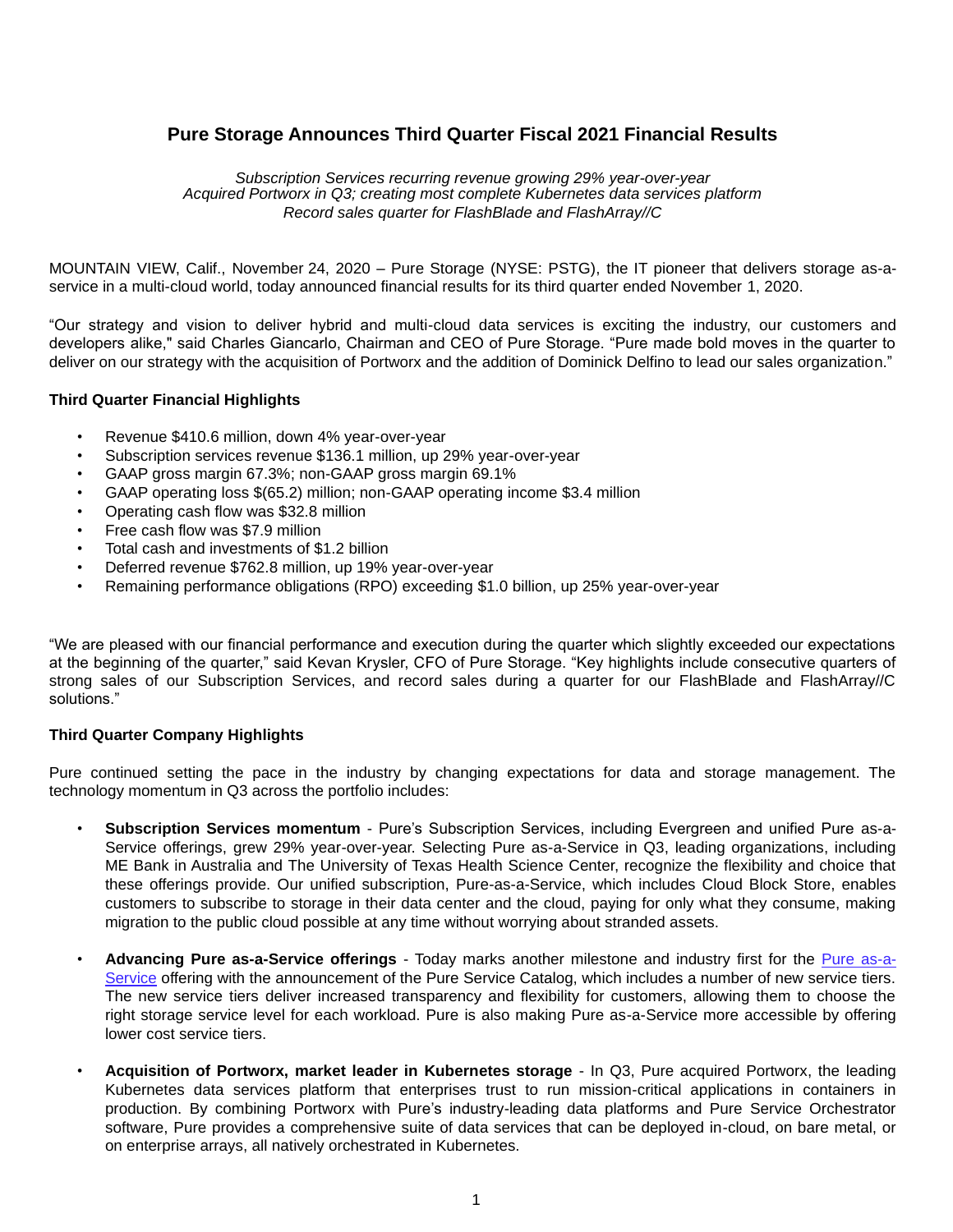# **Pure Storage Announces Third Quarter Fiscal 2021 Financial Results**

*Subscription Services recurring revenue growing 29% year-over-year Acquired Portworx in Q3; creating most complete Kubernetes data services platform Record sales quarter for FlashBlade and FlashArray//C*

MOUNTAIN VIEW, Calif., November 24, 2020 – Pure Storage (NYSE: PSTG), the IT pioneer that delivers storage as-aservice in a multi-cloud world, today announced financial results for its third quarter ended November 1, 2020.

"Our strategy and vision to deliver hybrid and multi-cloud data services is exciting the industry, our customers and developers alike," said Charles Giancarlo, Chairman and CEO of Pure Storage. "Pure made bold moves in the quarter to deliver on our strategy with the acquisition of Portworx and the addition of Dominick Delfino to lead our sales organization."

#### **Third Quarter Financial Highlights**

- Revenue \$410.6 million, down 4% year-over-year
- Subscription services revenue \$136.1 million, up 29% year-over-year
- GAAP gross margin 67.3%; non-GAAP gross margin 69.1%
- GAAP operating loss \$(65.2) million; non-GAAP operating income \$3.4 million
- Operating cash flow was \$32.8 million
- Free cash flow was \$7.9 million
- Total cash and investments of \$1.2 billion
- Deferred revenue \$762.8 million, up 19% year-over-year
- Remaining performance obligations (RPO) exceeding \$1.0 billion, up 25% year-over-year

"We are pleased with our financial performance and execution during the quarter which slightly exceeded our expectations at the beginning of the quarter," said Kevan Krysler, CFO of Pure Storage. "Key highlights include consecutive quarters of strong sales of our Subscription Services, and record sales during a quarter for our FlashBlade and FlashArray//C solutions."

#### **Third Quarter Company Highlights**

Pure continued setting the pace in the industry by changing expectations for data and storage management. The technology momentum in Q3 across the portfolio includes:

- **Subscription Services momentum** Pure's Subscription Services, including Evergreen and unified Pure as-a-Service offerings, grew 29% year-over-year. Selecting Pure as-a-Service in Q3, leading organizations, including ME Bank in Australia and The University of Texas Health Science Center, recognize the flexibility and choice that these offerings provide. Our unified subscription, Pure-as-a-Service, which includes Cloud Block Store, enables customers to subscribe to storage in their data center and the cloud, paying for only what they consume, making migration to the public cloud possible at any time without worrying about stranded assets.
- **Advancing Pure as-a-Service offerings**  Today marks another milestone and industry first for the Pure as-a-Service offering with the announcement of the Pure Service Catalog, which includes a number of new service tiers. The new service tiers deliver increased transparency and flexibility for customers, allowing them to choose the right storage service level for each workload. Pure is also making Pure as-a-Service more accessible by offering lower cost service tiers.
- **Acquisition of Portworx, market leader in Kubernetes storage** In Q3, Pure acquired Portworx, the leading Kubernetes data services platform that enterprises trust to run mission-critical applications in containers in production. By combining Portworx with Pure's industry-leading data platforms and Pure Service Orchestrator software, Pure provides a comprehensive suite of data services that can be deployed in-cloud, on bare metal, or on enterprise arrays, all natively orchestrated in Kubernetes.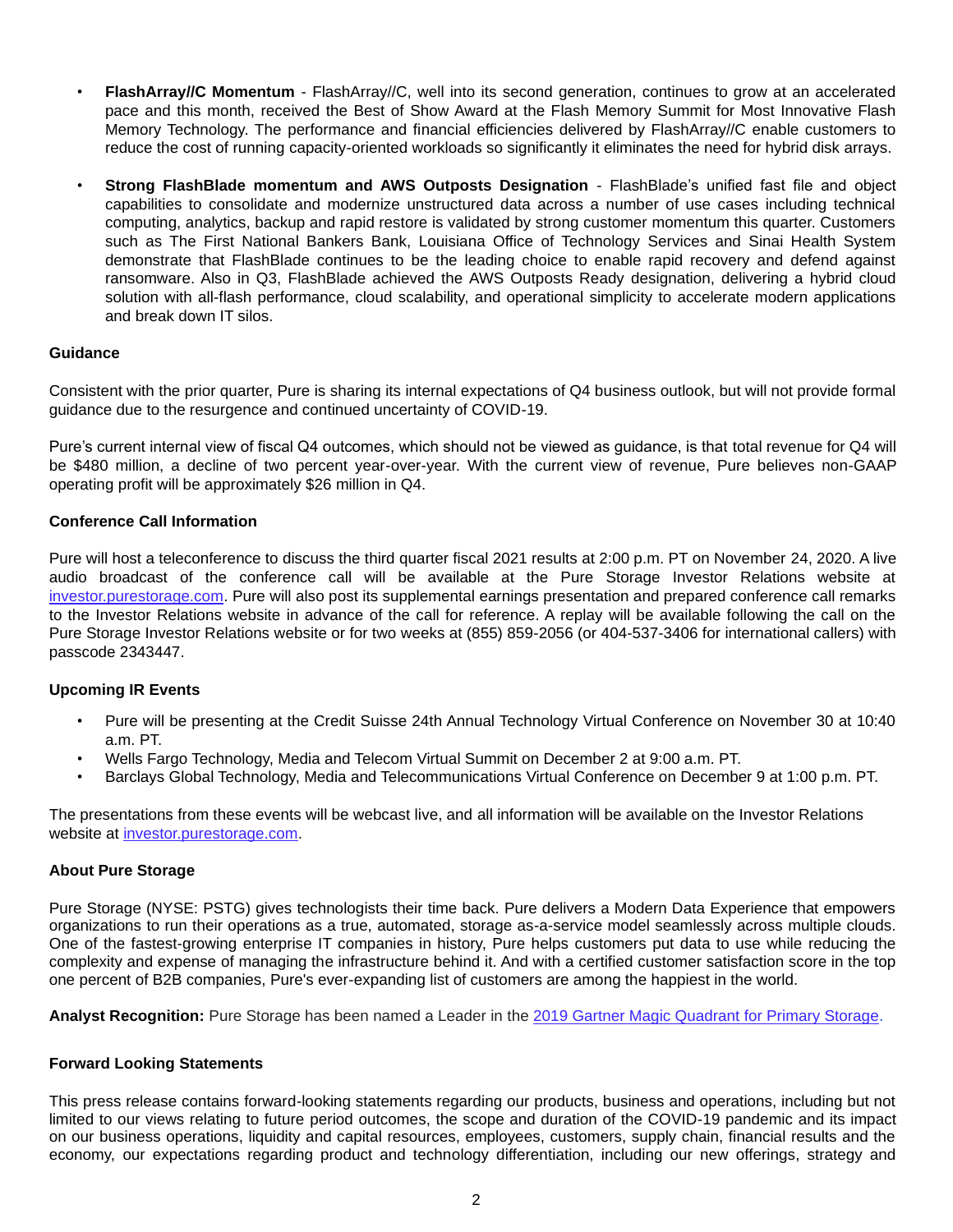- **FlashArray//C Momentum** FlashArray//C, well into its second generation, continues to grow at an accelerated pace and this month, received the Best of Show Award at the Flash Memory Summit for Most Innovative Flash Memory Technology. The performance and financial efficiencies delivered by FlashArray//C enable customers to reduce the cost of running capacity-oriented workloads so significantly it eliminates the need for hybrid disk arrays.
- **Strong FlashBlade momentum and AWS Outposts Designation**  FlashBlade's unified fast file and object capabilities to consolidate and modernize unstructured data across a number of use cases including technical computing, analytics, backup and rapid restore is validated by strong customer momentum this quarter. Customers such as The First National Bankers Bank, Louisiana Office of Technology Services and Sinai Health System demonstrate that FlashBlade continues to be the leading choice to enable rapid recovery and defend against ransomware. Also in Q3, FlashBlade achieved the AWS Outposts Ready designation, delivering a hybrid cloud solution with all-flash performance, cloud scalability, and operational simplicity to accelerate modern applications and break down IT silos.

#### **Guidance**

Consistent with the prior quarter, Pure is sharing its internal expectations of Q4 business outlook, but will not provide formal guidance due to the resurgence and continued uncertainty of COVID-19.

Pure's current internal view of fiscal Q4 outcomes, which should not be viewed as guidance, is that total revenue for Q4 will be \$480 million, a decline of two percent year-over-year. With the current view of revenue, Pure believes non-GAAP operating profit will be approximately \$26 million in Q4.

# **Conference Call Information**

Pure will host a teleconference to discuss the third quarter fiscal 2021 results at 2:00 p.m. PT on November 24, 2020. A live audio broadcast of the conference call will be available at the Pure Storage Investor Relations website at investor.purestorage.com. Pure will also post its supplemental earnings presentation and prepared conference call remarks to the Investor Relations website in advance of the call for reference. A replay will be available following the call on the Pure Storage Investor Relations website or for two weeks at (855) 859-2056 (or 404-537-3406 for international callers) with passcode 2343447.

# **Upcoming IR Events**

- Pure will be presenting at the Credit Suisse 24th Annual Technology Virtual Conference on November 30 at 10:40 a.m. PT.
- Wells Fargo Technology, Media and Telecom Virtual Summit on December 2 at 9:00 a.m. PT.
- Barclays Global Technology, Media and Telecommunications Virtual Conference on December 9 at 1:00 p.m. PT.

The presentations from these events will be webcast live, and all information will be available on the Investor Relations website at investor.purestorage.com.

#### **About Pure Storage**

Pure Storage (NYSE: PSTG) gives technologists their time back. Pure delivers a Modern Data Experience that empowers organizations to run their operations as a true, automated, storage as-a-service model seamlessly across multiple clouds. One of the fastest-growing enterprise IT companies in history, Pure helps customers put data to use while reducing the complexity and expense of managing the infrastructure behind it. And with a certified customer satisfaction score in the top one percent of B2B companies, Pure's ever-expanding list of customers are among the happiest in the world.

**Analyst Recognition:** Pure Storage has been named a Leader in the 2019 Gartner Magic Quadrant for Primary Storage.

#### **Forward Looking Statements**

This press release contains forward-looking statements regarding our products, business and operations, including but not limited to our views relating to future period outcomes, the scope and duration of the COVID-19 pandemic and its impact on our business operations, liquidity and capital resources, employees, customers, supply chain, financial results and the economy, our expectations regarding product and technology differentiation, including our new offerings, strategy and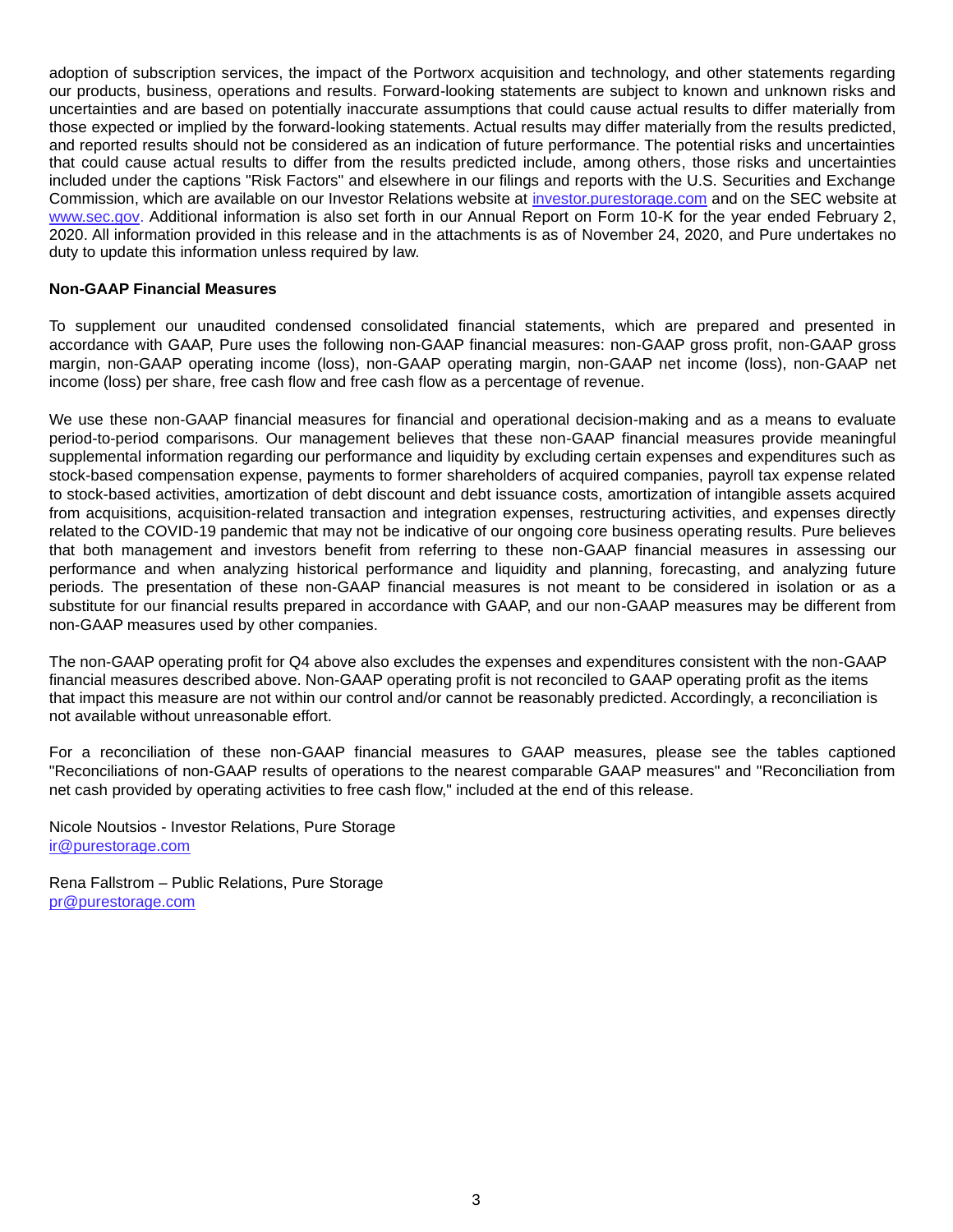adoption of subscription services, the impact of the Portworx acquisition and technology, and other statements regarding our products, business, operations and results. Forward-looking statements are subject to known and unknown risks and uncertainties and are based on potentially inaccurate assumptions that could cause actual results to differ materially from those expected or implied by the forward-looking statements. Actual results may differ materially from the results predicted, and reported results should not be considered as an indication of future performance. The potential risks and uncertainties that could cause actual results to differ from the results predicted include, among others, those risks and uncertainties included under the captions "Risk Factors" and elsewhere in our filings and reports with the U.S. Securities and Exchange Commission, which are available on our Investor Relations website at investor.purestorage.com and on the SEC website at www.sec.gov. Additional information is also set forth in our Annual Report on Form 10-K for the year ended February 2, 2020. All information provided in this release and in the attachments is as of November 24, 2020, and Pure undertakes no duty to update this information unless required by law.

#### **Non-GAAP Financial Measures**

To supplement our unaudited condensed consolidated financial statements, which are prepared and presented in accordance with GAAP, Pure uses the following non-GAAP financial measures: non-GAAP gross profit, non-GAAP gross margin, non-GAAP operating income (loss), non-GAAP operating margin, non-GAAP net income (loss), non-GAAP net income (loss) per share, free cash flow and free cash flow as a percentage of revenue.

We use these non-GAAP financial measures for financial and operational decision-making and as a means to evaluate period-to-period comparisons. Our management believes that these non-GAAP financial measures provide meaningful supplemental information regarding our performance and liquidity by excluding certain expenses and expenditures such as stock-based compensation expense, payments to former shareholders of acquired companies, payroll tax expense related to stock-based activities, amortization of debt discount and debt issuance costs, amortization of intangible assets acquired from acquisitions, acquisition-related transaction and integration expenses, restructuring activities, and expenses directly related to the COVID-19 pandemic that may not be indicative of our ongoing core business operating results. Pure believes that both management and investors benefit from referring to these non-GAAP financial measures in assessing our performance and when analyzing historical performance and liquidity and planning, forecasting, and analyzing future periods. The presentation of these non-GAAP financial measures is not meant to be considered in isolation or as a substitute for our financial results prepared in accordance with GAAP, and our non-GAAP measures may be different from non-GAAP measures used by other companies.

The non-GAAP operating profit for Q4 above also excludes the expenses and expenditures consistent with the non-GAAP financial measures described above. Non-GAAP operating profit is not reconciled to GAAP operating profit as the items that impact this measure are not within our control and/or cannot be reasonably predicted. Accordingly, a reconciliation is not available without unreasonable effort.

For a reconciliation of these non-GAAP financial measures to GAAP measures, please see the tables captioned "Reconciliations of non-GAAP results of operations to the nearest comparable GAAP measures" and "Reconciliation from net cash provided by operating activities to free cash flow," included at the end of this release.

Nicole Noutsios - Investor Relations, Pure Storage ir@purestorage.com

Rena Fallstrom – Public Relations, Pure Storage pr@purestorage.com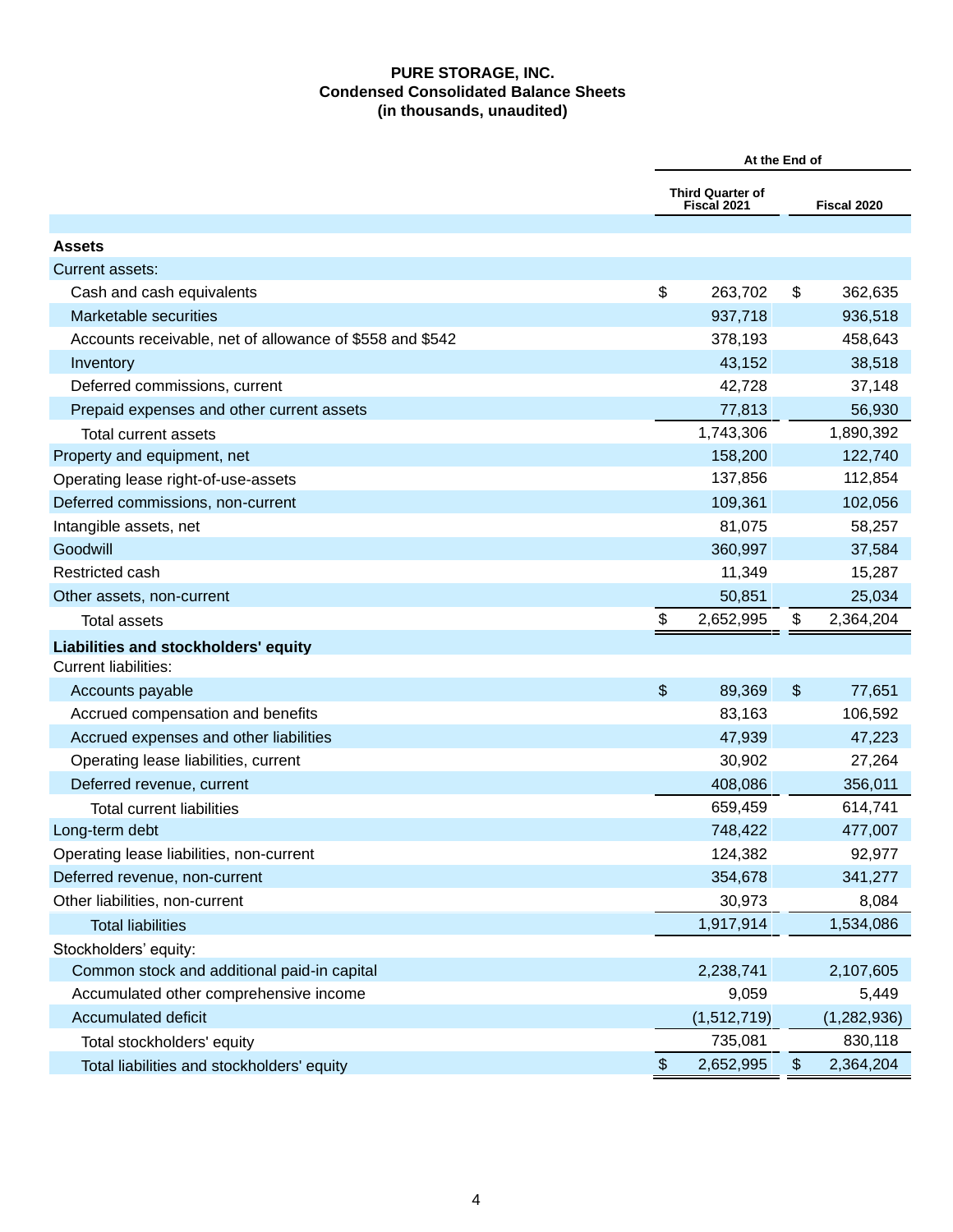# **PURE STORAGE, INC. Condensed Consolidated Balance Sheets (in thousands, unaudited)**

|                                                          | At the End of |                                 |                |               |  |
|----------------------------------------------------------|---------------|---------------------------------|----------------|---------------|--|
|                                                          |               | Third Quarter of<br>Fiscal 2021 |                | Fiscal 2020   |  |
| <b>Assets</b>                                            |               |                                 |                |               |  |
| Current assets:                                          |               |                                 |                |               |  |
| Cash and cash equivalents                                | \$            | 263,702                         | \$             | 362,635       |  |
| Marketable securities                                    |               | 937,718                         |                | 936,518       |  |
| Accounts receivable, net of allowance of \$558 and \$542 |               | 378,193                         |                | 458,643       |  |
| Inventory                                                |               | 43,152                          |                | 38,518        |  |
| Deferred commissions, current                            |               | 42,728                          |                | 37,148        |  |
| Prepaid expenses and other current assets                |               | 77,813                          |                | 56,930        |  |
| Total current assets                                     |               | 1,743,306                       |                | 1,890,392     |  |
| Property and equipment, net                              |               | 158,200                         |                | 122,740       |  |
| Operating lease right-of-use-assets                      |               | 137,856                         |                | 112,854       |  |
| Deferred commissions, non-current                        |               | 109,361                         |                | 102,056       |  |
| Intangible assets, net                                   |               | 81,075                          |                | 58,257        |  |
| Goodwill                                                 |               | 360,997                         |                | 37,584        |  |
| Restricted cash                                          |               | 11,349                          |                | 15,287        |  |
| Other assets, non-current                                |               | 50,851                          |                | 25,034        |  |
| Total assets                                             | \$            | 2,652,995                       | \$             | 2,364,204     |  |
| Liabilities and stockholders' equity                     |               |                                 |                |               |  |
| <b>Current liabilities:</b>                              |               |                                 |                |               |  |
| Accounts payable                                         | \$            | 89,369                          | $\mathfrak{F}$ | 77,651        |  |
| Accrued compensation and benefits                        |               | 83,163                          |                | 106,592       |  |
| Accrued expenses and other liabilities                   |               | 47,939                          |                | 47,223        |  |
| Operating lease liabilities, current                     |               | 30,902                          |                | 27,264        |  |
| Deferred revenue, current                                |               | 408,086                         |                | 356,011       |  |
| <b>Total current liabilities</b>                         |               | 659,459                         |                | 614,741       |  |
| Long-term debt                                           |               | 748,422                         |                | 477,007       |  |
| Operating lease liabilities, non-current                 |               | 124,382                         |                | 92,977        |  |
| Deferred revenue, non-current                            |               | 354,678                         |                | 341,277       |  |
| Other liabilities, non-current                           |               | 30,973                          |                | 8,084         |  |
| <b>Total liabilities</b>                                 |               | 1,917,914                       |                | 1,534,086     |  |
| Stockholders' equity:                                    |               |                                 |                |               |  |
| Common stock and additional paid-in capital              |               | 2,238,741                       |                | 2,107,605     |  |
| Accumulated other comprehensive income                   |               | 9,059                           |                | 5,449         |  |
| <b>Accumulated deficit</b>                               |               | (1,512,719)                     |                | (1, 282, 936) |  |
| Total stockholders' equity                               |               | 735,081                         |                | 830,118       |  |
| Total liabilities and stockholders' equity               | $\$\$         | 2,652,995                       | $\frac{1}{2}$  | 2,364,204     |  |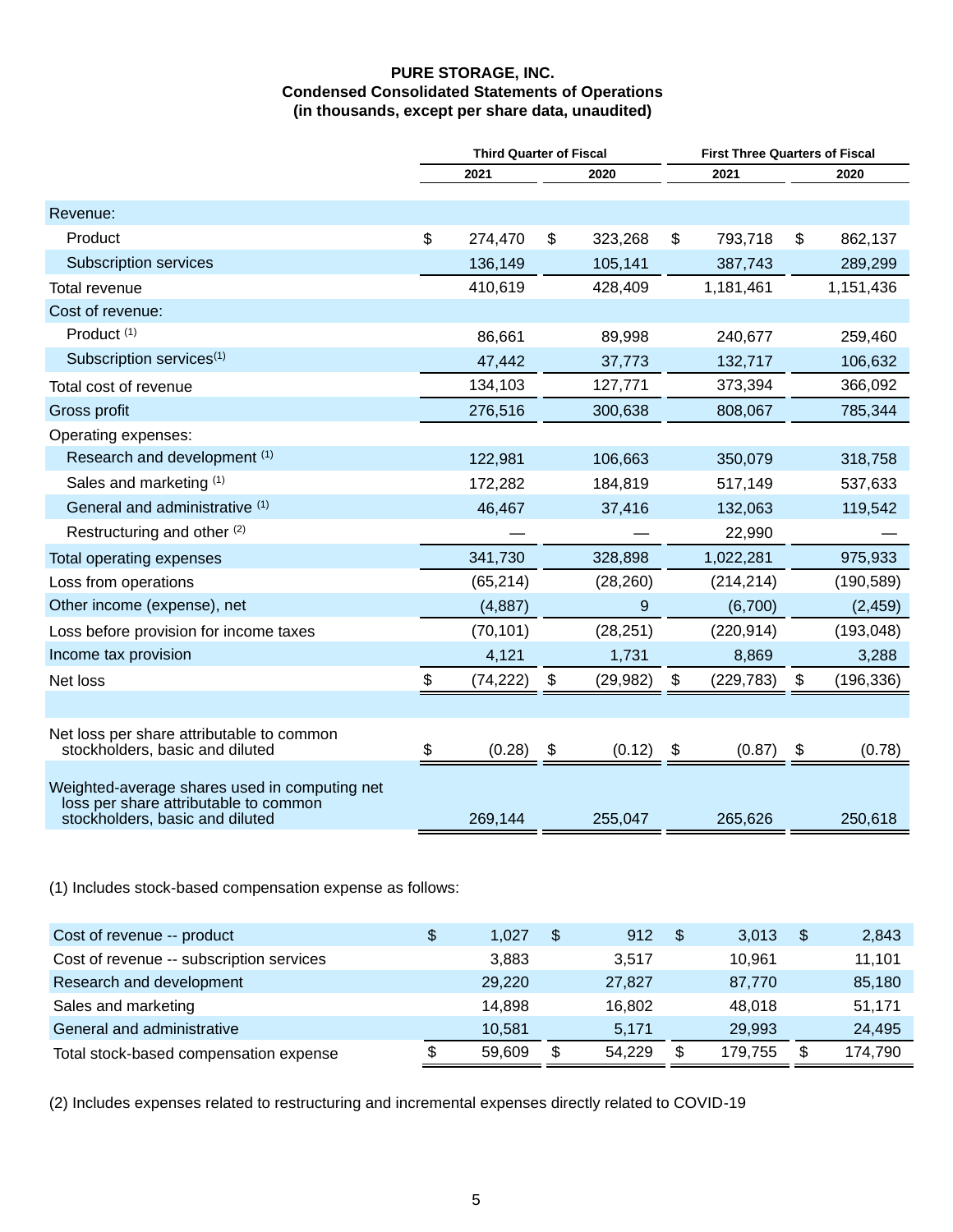# **PURE STORAGE, INC. Condensed Consolidated Statements of Operations (in thousands, except per share data, unaudited)**

|                                                                                                                           | <b>Third Quarter of Fiscal</b> |           |      |           |    | <b>First Three Quarters of Fiscal</b> |    |            |  |  |  |
|---------------------------------------------------------------------------------------------------------------------------|--------------------------------|-----------|------|-----------|----|---------------------------------------|----|------------|--|--|--|
|                                                                                                                           |                                | 2021      | 2020 |           |    | 2021                                  |    | 2020       |  |  |  |
| Revenue:                                                                                                                  |                                |           |      |           |    |                                       |    |            |  |  |  |
| Product                                                                                                                   | \$                             | 274,470   | \$   | 323,268   | \$ | 793,718                               | \$ | 862,137    |  |  |  |
| <b>Subscription services</b>                                                                                              |                                | 136,149   |      | 105,141   |    | 387,743                               |    | 289,299    |  |  |  |
| Total revenue                                                                                                             |                                | 410,619   |      | 428,409   |    | 1,181,461                             |    | 1,151,436  |  |  |  |
| Cost of revenue:                                                                                                          |                                |           |      |           |    |                                       |    |            |  |  |  |
| Product <sup>(1)</sup>                                                                                                    |                                | 86,661    |      | 89,998    |    | 240,677                               |    | 259,460    |  |  |  |
| Subscription services <sup>(1)</sup>                                                                                      |                                | 47,442    |      | 37,773    |    | 132,717                               |    | 106,632    |  |  |  |
| Total cost of revenue                                                                                                     |                                | 134,103   |      | 127,771   |    | 373,394                               |    | 366,092    |  |  |  |
| Gross profit                                                                                                              |                                | 276,516   |      | 300,638   |    | 808,067                               |    | 785,344    |  |  |  |
| Operating expenses:                                                                                                       |                                |           |      |           |    |                                       |    |            |  |  |  |
| Research and development (1)                                                                                              |                                | 122,981   |      | 106,663   |    | 350,079                               |    | 318,758    |  |  |  |
| Sales and marketing (1)                                                                                                   |                                | 172,282   |      | 184,819   |    | 517,149                               |    | 537,633    |  |  |  |
| General and administrative (1)                                                                                            |                                | 46,467    |      | 37,416    |    | 132,063                               |    | 119,542    |  |  |  |
| Restructuring and other (2)                                                                                               |                                |           |      |           |    | 22,990                                |    |            |  |  |  |
| Total operating expenses                                                                                                  |                                | 341,730   |      | 328,898   |    | 1,022,281                             |    | 975,933    |  |  |  |
| Loss from operations                                                                                                      |                                | (65, 214) |      | (28, 260) |    | (214, 214)                            |    | (190, 589) |  |  |  |
| Other income (expense), net                                                                                               |                                | (4,887)   |      | 9         |    | (6,700)                               |    | (2, 459)   |  |  |  |
| Loss before provision for income taxes                                                                                    |                                | (70, 101) |      | (28, 251) |    | (220, 914)                            |    | (193, 048) |  |  |  |
| Income tax provision                                                                                                      |                                | 4,121     |      | 1,731     |    | 8,869                                 |    | 3,288      |  |  |  |
| Net loss                                                                                                                  | \$                             | (74, 222) | \$   | (29, 982) | \$ | (229, 783)                            | \$ | (196, 336) |  |  |  |
|                                                                                                                           |                                |           |      |           |    |                                       |    |            |  |  |  |
| Net loss per share attributable to common<br>stockholders, basic and diluted                                              | \$                             | (0.28)    | \$   | (0.12)    | \$ | (0.87)                                | \$ | (0.78)     |  |  |  |
| Weighted-average shares used in computing net<br>loss per share attributable to common<br>stockholders, basic and diluted |                                | 269,144   |      | 255,047   |    | 265,626                               |    | 250,618    |  |  |  |

(1) Includes stock-based compensation expense as follows:

| Cost of revenue -- product               | 1.027  | \$<br>912    | -\$ | 3.013   | 2,843   |
|------------------------------------------|--------|--------------|-----|---------|---------|
| Cost of revenue -- subscription services | 3.883  | 3.517        |     | 10.961  | 11,101  |
| Research and development                 | 29,220 | 27,827       |     | 87,770  | 85,180  |
| Sales and marketing                      | 14.898 | 16.802       |     | 48.018  | 51,171  |
| General and administrative               | 10.581 | 5.171        |     | 29,993  | 24,495  |
| Total stock-based compensation expense   | 59,609 | \$<br>54.229 | S   | 179.755 | 174,790 |

(2) Includes expenses related to restructuring and incremental expenses directly related to COVID-19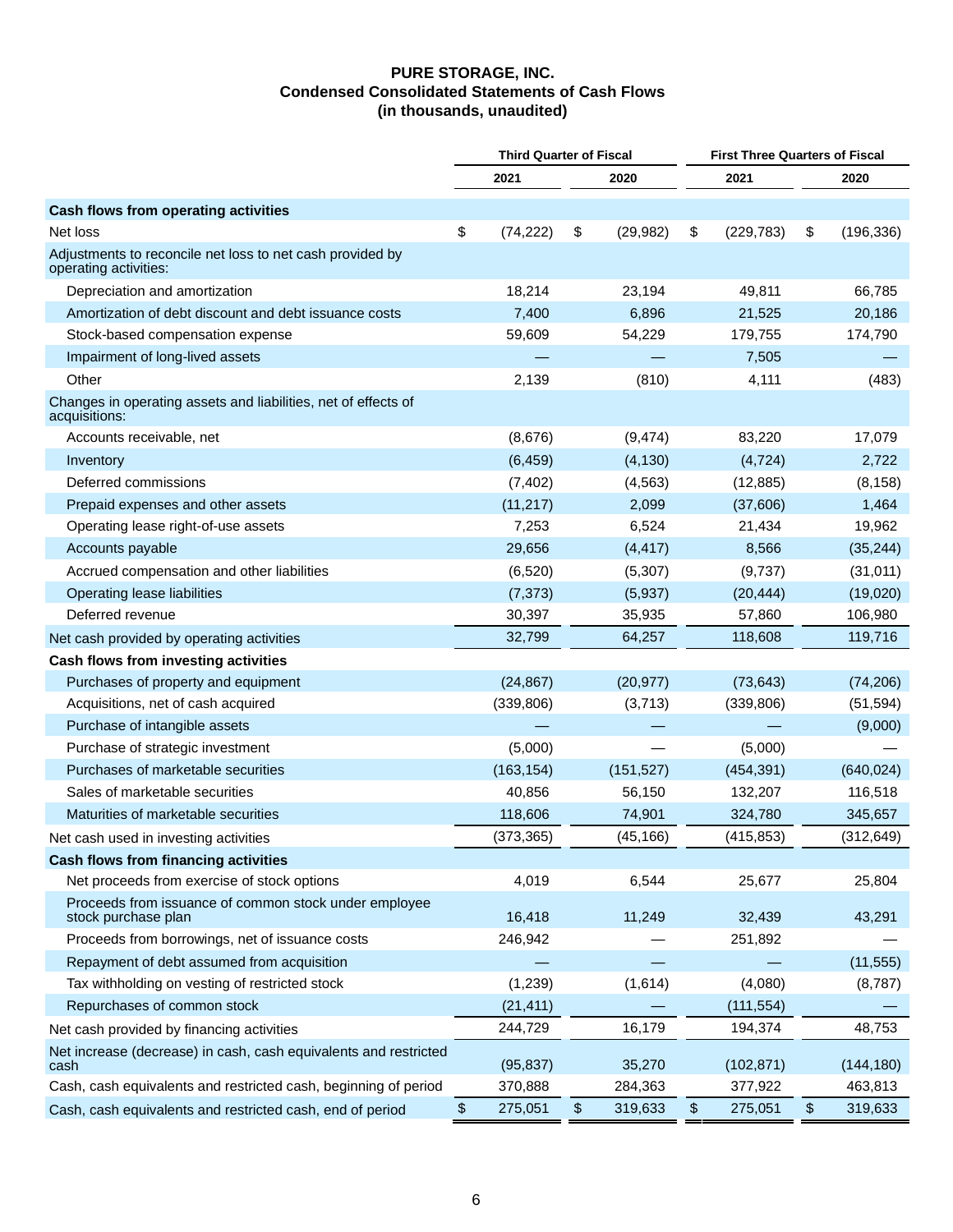#### **PURE STORAGE, INC. Condensed Consolidated Statements of Cash Flows (in thousands, unaudited)**

|                                                                                    | <b>Third Quarter of Fiscal</b> |            |    |            |                  | <b>First Three Quarters of Fiscal</b> |            |  |
|------------------------------------------------------------------------------------|--------------------------------|------------|----|------------|------------------|---------------------------------------|------------|--|
|                                                                                    |                                | 2021       |    | 2020       | 2021             |                                       | 2020       |  |
| Cash flows from operating activities                                               |                                |            |    |            |                  |                                       |            |  |
| Net loss                                                                           | \$                             | (74, 222)  | \$ | (29, 982)  | \$<br>(229, 783) | \$                                    | (196, 336) |  |
| Adjustments to reconcile net loss to net cash provided by<br>operating activities: |                                |            |    |            |                  |                                       |            |  |
| Depreciation and amortization                                                      |                                | 18,214     |    | 23,194     | 49,811           |                                       | 66,785     |  |
| Amortization of debt discount and debt issuance costs                              |                                | 7,400      |    | 6,896      | 21,525           |                                       | 20,186     |  |
| Stock-based compensation expense                                                   |                                | 59,609     |    | 54,229     | 179,755          |                                       | 174,790    |  |
| Impairment of long-lived assets                                                    |                                |            |    |            | 7,505            |                                       |            |  |
| Other                                                                              |                                | 2,139      |    | (810)      | 4,111            |                                       | (483)      |  |
| Changes in operating assets and liabilities, net of effects of<br>acquisitions:    |                                |            |    |            |                  |                                       |            |  |
| Accounts receivable, net                                                           |                                | (8,676)    |    | (9, 474)   | 83,220           |                                       | 17,079     |  |
| Inventory                                                                          |                                | (6, 459)   |    | (4, 130)   | (4, 724)         |                                       | 2,722      |  |
| Deferred commissions                                                               |                                | (7, 402)   |    | (4, 563)   | (12, 885)        |                                       | (8, 158)   |  |
| Prepaid expenses and other assets                                                  |                                | (11, 217)  |    | 2,099      | (37,606)         |                                       | 1,464      |  |
| Operating lease right-of-use assets                                                |                                | 7,253      |    | 6,524      | 21,434           |                                       | 19,962     |  |
| Accounts payable                                                                   |                                | 29,656     |    | (4, 417)   | 8,566            |                                       | (35, 244)  |  |
| Accrued compensation and other liabilities                                         |                                | (6,520)    |    | (5, 307)   | (9,737)          |                                       | (31, 011)  |  |
| Operating lease liabilities                                                        |                                | (7, 373)   |    | (5,937)    | (20, 444)        |                                       | (19,020)   |  |
| Deferred revenue                                                                   |                                | 30,397     |    | 35,935     | 57,860           |                                       | 106,980    |  |
| Net cash provided by operating activities                                          |                                | 32,799     |    | 64,257     | 118,608          |                                       | 119,716    |  |
| Cash flows from investing activities                                               |                                |            |    |            |                  |                                       |            |  |
| Purchases of property and equipment                                                |                                | (24, 867)  |    | (20, 977)  | (73, 643)        |                                       | (74, 206)  |  |
| Acquisitions, net of cash acquired                                                 |                                | (339, 806) |    | (3,713)    | (339, 806)       |                                       | (51, 594)  |  |
| Purchase of intangible assets                                                      |                                |            |    |            |                  |                                       | (9,000)    |  |
| Purchase of strategic investment                                                   |                                | (5,000)    |    |            | (5,000)          |                                       |            |  |
| Purchases of marketable securities                                                 |                                | (163, 154) |    | (151, 527) | (454, 391)       |                                       | (640, 024) |  |
| Sales of marketable securities                                                     |                                | 40,856     |    | 56,150     | 132,207          |                                       | 116,518    |  |
| Maturities of marketable securities                                                |                                | 118,606    |    | 74,901     | 324,780          |                                       | 345,657    |  |
| Net cash used in investing activities                                              |                                | (373, 365) |    | (45, 166)  | (415, 853)       |                                       | (312, 649) |  |
| Cash flows from financing activities                                               |                                |            |    |            |                  |                                       |            |  |
| Net proceeds from exercise of stock options                                        |                                | 4,019      |    | 6,544      | 25,677           |                                       | 25,804     |  |
| Proceeds from issuance of common stock under employee<br>stock purchase plan       |                                | 16,418     |    | 11,249     | 32,439           |                                       | 43,291     |  |
| Proceeds from borrowings, net of issuance costs                                    |                                | 246,942    |    |            | 251,892          |                                       |            |  |
| Repayment of debt assumed from acquisition                                         |                                |            |    |            |                  |                                       | (11, 555)  |  |
| Tax withholding on vesting of restricted stock                                     |                                | (1,239)    |    | (1,614)    | (4,080)          |                                       | (8,787)    |  |
| Repurchases of common stock                                                        |                                | (21, 411)  |    |            | (111, 554)       |                                       |            |  |
| Net cash provided by financing activities                                          |                                | 244,729    |    | 16,179     | 194,374          |                                       | 48,753     |  |
| Net increase (decrease) in cash, cash equivalents and restricted<br>cash           |                                | (95, 837)  |    | 35,270     | (102, 871)       |                                       | (144, 180) |  |
| Cash, cash equivalents and restricted cash, beginning of period                    |                                | 370,888    |    | 284,363    | 377,922          |                                       | 463,813    |  |
| Cash, cash equivalents and restricted cash, end of period                          | \$                             | 275,051    | \$ | 319,633    | \$<br>275,051    | $\,$                                  | 319,633    |  |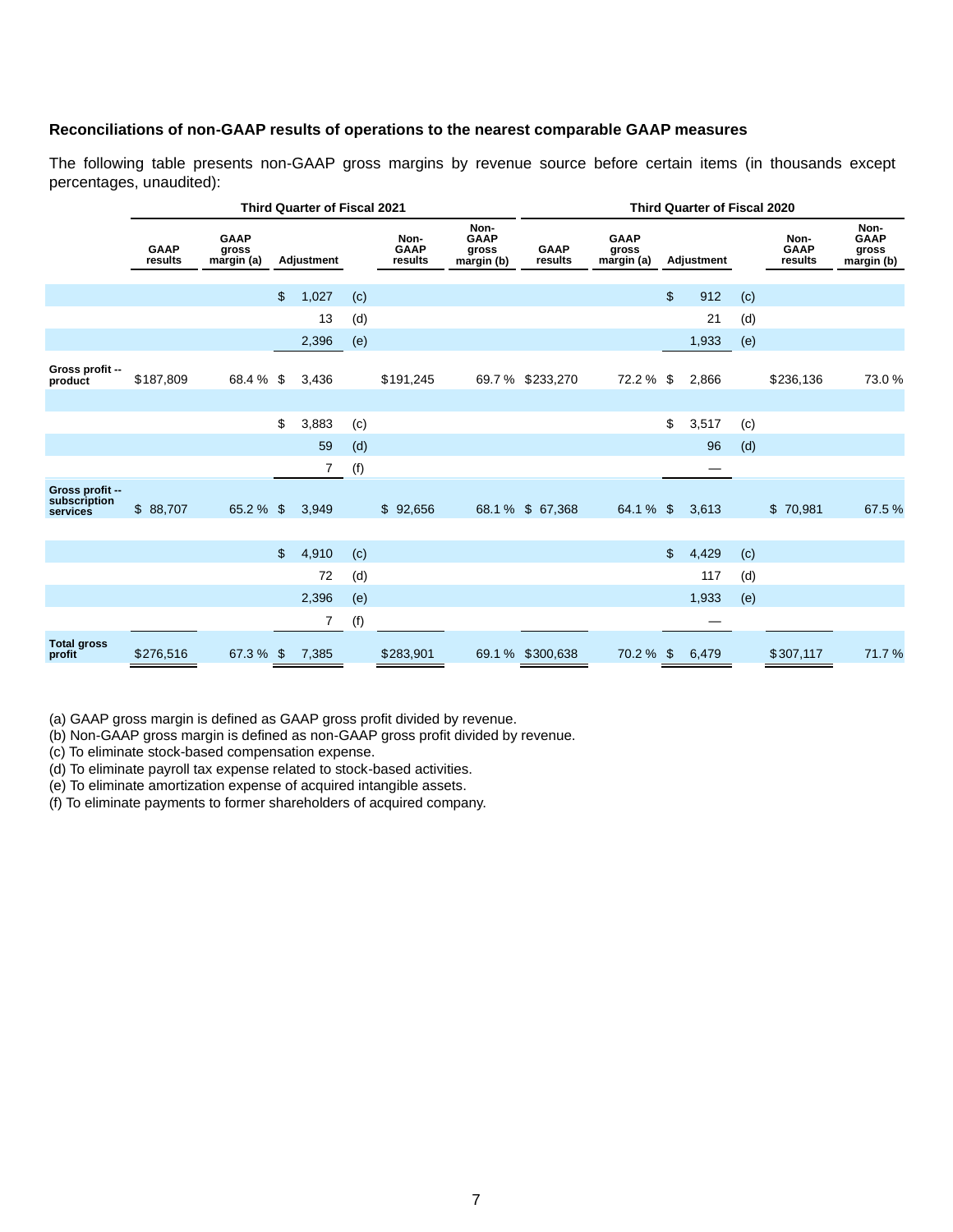#### **Reconciliations of non-GAAP results of operations to the nearest comparable GAAP measures**

The following table presents non-GAAP gross margins by revenue source before certain items (in thousands except percentages, unaudited):

|                                             |                        |                                    | <b>Third Quarter of Fiscal 2021</b> | <b>Third Quarter of Fiscal 2020</b> |     |                                |                                            |                        |                                    |                |       |     |           |       |  |  |  |  |  |  |  |  |  |  |  |  |  |  |  |  |                                |                                            |
|---------------------------------------------|------------------------|------------------------------------|-------------------------------------|-------------------------------------|-----|--------------------------------|--------------------------------------------|------------------------|------------------------------------|----------------|-------|-----|-----------|-------|--|--|--|--|--|--|--|--|--|--|--|--|--|--|--|--|--------------------------------|--------------------------------------------|
|                                             | <b>GAAP</b><br>results | <b>GAAP</b><br>gross<br>margin (a) |                                     | Adjustment                          |     | Non-<br><b>GAAP</b><br>results | Non-<br><b>GAAP</b><br>gross<br>margin (b) | <b>GAAP</b><br>results | <b>GAAP</b><br>gross<br>margin (a) | Adjustment     |       |     |           |       |  |  |  |  |  |  |  |  |  |  |  |  |  |  |  |  | Non-<br><b>GAAP</b><br>results | Non-<br><b>GAAP</b><br>gross<br>margin (b) |
|                                             |                        |                                    | \$                                  | 1,027                               | (c) |                                |                                            |                        |                                    | $\mathfrak{S}$ | 912   | (c) |           |       |  |  |  |  |  |  |  |  |  |  |  |  |  |  |  |  |                                |                                            |
|                                             |                        |                                    |                                     | 13                                  | (d) |                                |                                            |                        |                                    |                | 21    | (d) |           |       |  |  |  |  |  |  |  |  |  |  |  |  |  |  |  |  |                                |                                            |
|                                             |                        |                                    |                                     | 2,396                               | (e) |                                |                                            |                        |                                    |                | 1,933 | (e) |           |       |  |  |  |  |  |  |  |  |  |  |  |  |  |  |  |  |                                |                                            |
| Gross profit --<br>product                  | \$187,809              | 68.4 % \$                          |                                     | 3,436                               |     | \$191,245                      |                                            | 69.7 % \$233,270       | 72.2 %                             | \$             | 2,866 |     | \$236,136 | 73.0% |  |  |  |  |  |  |  |  |  |  |  |  |  |  |  |  |                                |                                            |
|                                             |                        |                                    |                                     |                                     |     |                                |                                            |                        |                                    |                |       |     |           |       |  |  |  |  |  |  |  |  |  |  |  |  |  |  |  |  |                                |                                            |
|                                             |                        |                                    | \$                                  | 3,883                               | (c) |                                |                                            |                        |                                    | \$             | 3,517 | (c) |           |       |  |  |  |  |  |  |  |  |  |  |  |  |  |  |  |  |                                |                                            |
|                                             |                        |                                    |                                     | 59                                  | (d) |                                |                                            |                        |                                    |                | 96    | (d) |           |       |  |  |  |  |  |  |  |  |  |  |  |  |  |  |  |  |                                |                                            |
|                                             |                        |                                    |                                     | $\overline{7}$                      | (f) |                                |                                            |                        |                                    |                |       |     |           |       |  |  |  |  |  |  |  |  |  |  |  |  |  |  |  |  |                                |                                            |
| Gross profit --<br>subscription<br>services | \$ 88,707              | 65.2 %                             | $\mathfrak{S}$                      | 3,949                               |     | \$92,656                       |                                            | 68.1 % \$ 67,368       | 64.1 % \$                          |                | 3,613 |     | \$70,981  | 67.5% |  |  |  |  |  |  |  |  |  |  |  |  |  |  |  |  |                                |                                            |
|                                             |                        |                                    | $\mathfrak{L}$                      | 4,910                               | (c) |                                |                                            |                        |                                    | \$             | 4,429 | (c) |           |       |  |  |  |  |  |  |  |  |  |  |  |  |  |  |  |  |                                |                                            |
|                                             |                        |                                    |                                     | 72                                  | (d) |                                |                                            |                        |                                    |                | 117   | (d) |           |       |  |  |  |  |  |  |  |  |  |  |  |  |  |  |  |  |                                |                                            |
|                                             |                        |                                    |                                     | 2,396                               | (e) |                                |                                            |                        |                                    |                | 1,933 | (e) |           |       |  |  |  |  |  |  |  |  |  |  |  |  |  |  |  |  |                                |                                            |
|                                             |                        |                                    |                                     | 7                                   | (f) |                                |                                            |                        |                                    |                |       |     |           |       |  |  |  |  |  |  |  |  |  |  |  |  |  |  |  |  |                                |                                            |
| <b>Total gross</b><br>profit                | \$276,516              | 67.3 % \$                          |                                     | 7,385                               |     | \$283,901                      |                                            | 69.1 % \$300,638       | 70.2 % \$                          |                | 6,479 |     | \$307,117 | 71.7% |  |  |  |  |  |  |  |  |  |  |  |  |  |  |  |  |                                |                                            |

(a) GAAP gross margin is defined as GAAP gross profit divided by revenue.

(b) Non-GAAP gross margin is defined as non-GAAP gross profit divided by revenue.

(c) To eliminate stock-based compensation expense.

(d) To eliminate payroll tax expense related to stock-based activities.

(e) To eliminate amortization expense of acquired intangible assets.

(f) To eliminate payments to former shareholders of acquired company.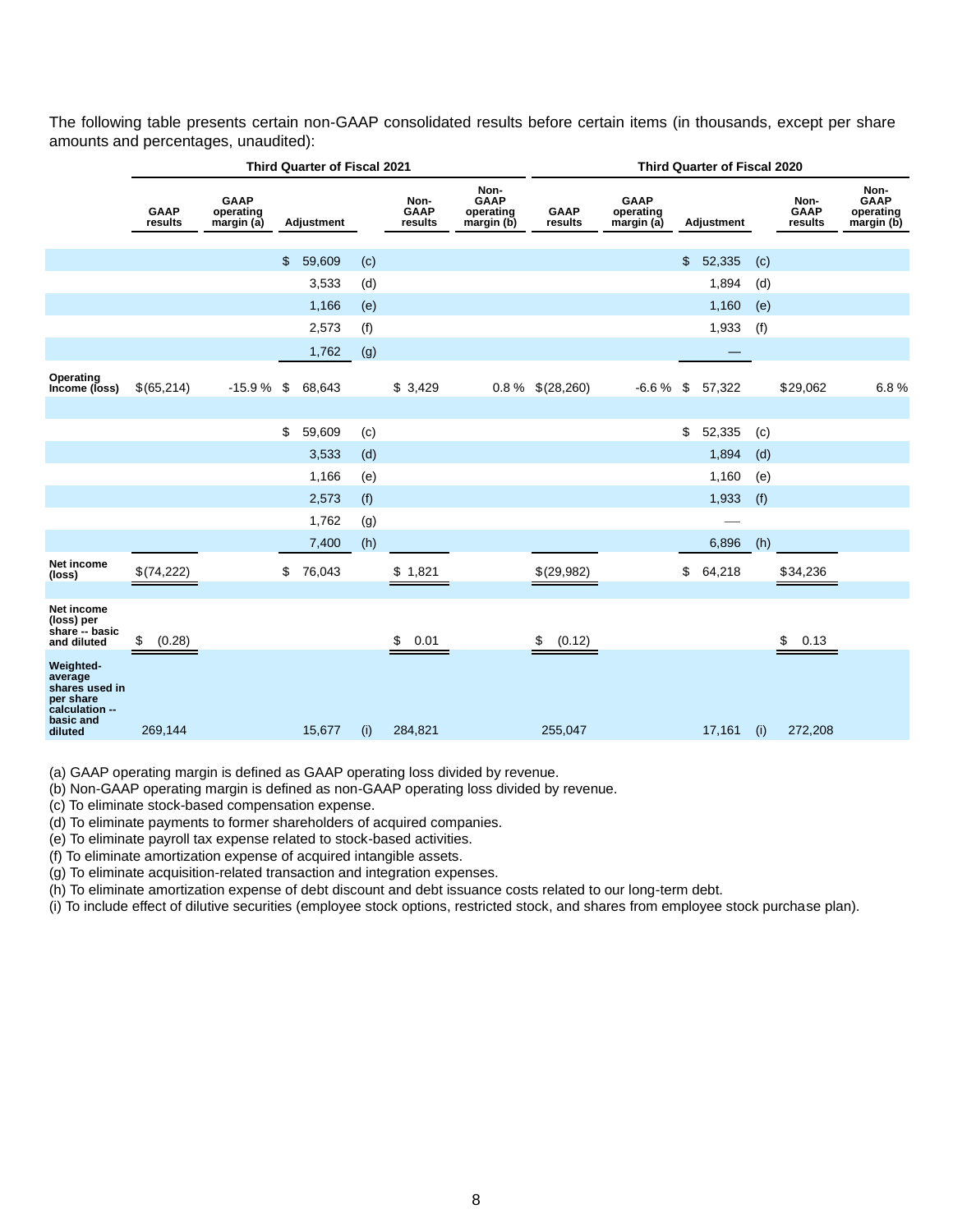The following table presents certain non-GAAP consolidated results before certain items (in thousands, except per share amounts and percentages, unaudited):

|                                                                                               |                        | <b>Third Quarter of Fiscal 2021</b>    |              | Third Quarter of Fiscal 2020 |                         |                                                |                        |                                        |    |            |     |                                |                                                |
|-----------------------------------------------------------------------------------------------|------------------------|----------------------------------------|--------------|------------------------------|-------------------------|------------------------------------------------|------------------------|----------------------------------------|----|------------|-----|--------------------------------|------------------------------------------------|
|                                                                                               | <b>GAAP</b><br>results | <b>GAAP</b><br>operating<br>margin (a) | Adjustment   |                              | Non-<br>GAAP<br>results | Non-<br><b>GAAP</b><br>operating<br>margin (b) | <b>GAAP</b><br>results | <b>GAAP</b><br>operating<br>margin (a) |    | Adjustment |     | Non-<br><b>GAAP</b><br>results | Non-<br><b>GAAP</b><br>operating<br>margin (b) |
|                                                                                               |                        |                                        | \$<br>59,609 | (c)                          |                         |                                                |                        |                                        | \$ | 52,335     | (c) |                                |                                                |
|                                                                                               |                        |                                        | 3,533        | (d)                          |                         |                                                |                        |                                        |    | 1,894      | (d) |                                |                                                |
|                                                                                               |                        |                                        | 1,166        | (e)                          |                         |                                                |                        |                                        |    | 1,160      | (e) |                                |                                                |
|                                                                                               |                        |                                        | 2,573        | (f)                          |                         |                                                |                        |                                        |    | 1,933      | (f) |                                |                                                |
|                                                                                               |                        |                                        | 1,762        | (g)                          |                         |                                                |                        |                                        |    |            |     |                                |                                                |
| Operating<br>Income (loss)                                                                    | \$(65,214)             | $-15.9%$                               | \$<br>68,643 |                              | \$3,429                 |                                                | $0.8\%$ \$(28,260)     | $-6.6%$                                | \$ | 57,322     |     | \$29,062                       | 6.8%                                           |
|                                                                                               |                        |                                        |              |                              |                         |                                                |                        |                                        |    |            |     |                                |                                                |
|                                                                                               |                        |                                        | \$<br>59,609 | (c)                          |                         |                                                |                        |                                        | \$ | 52,335     | (c) |                                |                                                |
|                                                                                               |                        |                                        | 3,533        | (d)                          |                         |                                                |                        |                                        |    | 1,894      | (d) |                                |                                                |
|                                                                                               |                        |                                        | 1,166        | (e)                          |                         |                                                |                        |                                        |    | 1,160      | (e) |                                |                                                |
|                                                                                               |                        |                                        | 2,573        | (f)                          |                         |                                                |                        |                                        |    | 1,933      | (f) |                                |                                                |
|                                                                                               |                        |                                        | 1,762        | (g)                          |                         |                                                |                        |                                        |    |            |     |                                |                                                |
|                                                                                               |                        |                                        | 7,400        | (h)                          |                         |                                                |                        |                                        |    | 6,896      | (h) |                                |                                                |
| Net income<br>(loss)                                                                          | \$(74,222)             |                                        | \$<br>76,043 |                              | \$1,821                 |                                                | \$(29,982)             |                                        | \$ | 64,218     |     | \$34,236                       |                                                |
| Net income<br>(loss) per<br>share -- basic<br>and diluted                                     | \$<br>(0.28)           |                                        |              |                              | \$<br>0.01              |                                                | (0.12)<br>\$           |                                        |    |            |     | \$<br>0.13                     |                                                |
| Weighted-<br>average<br>shares used in<br>per share<br>calculation --<br>basic and<br>diluted | 269,144                |                                        | 15,677       | (i)                          | 284,821                 |                                                | 255,047                |                                        |    | 17,161     | (i) | 272,208                        |                                                |

(a) GAAP operating margin is defined as GAAP operating loss divided by revenue.

(b) Non-GAAP operating margin is defined as non-GAAP operating loss divided by revenue.

(c) To eliminate stock-based compensation expense.

(d) To eliminate payments to former shareholders of acquired companies.

(e) To eliminate payroll tax expense related to stock-based activities.

(f) To eliminate amortization expense of acquired intangible assets.

(g) To eliminate acquisition-related transaction and integration expenses.

(h) To eliminate amortization expense of debt discount and debt issuance costs related to our long-term debt.

(i) To include effect of dilutive securities (employee stock options, restricted stock, and shares from employee stock purchase plan).